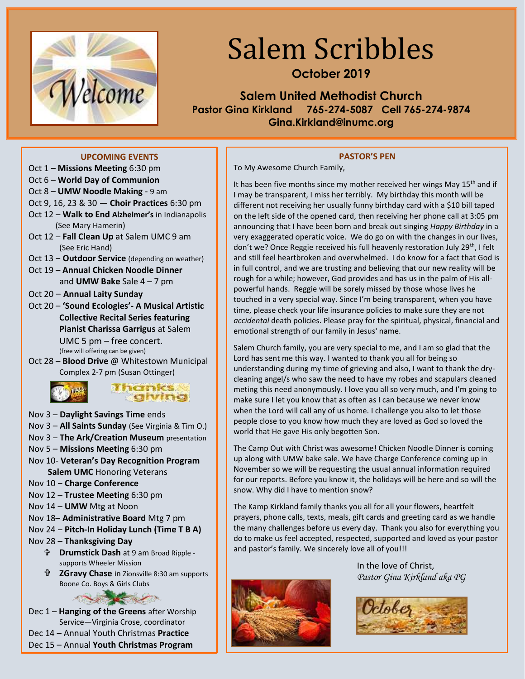

# Salem Scribbles

**October 2019**

**Salem United Methodist Church Pastor Gina Kirkland 765-274-5087 Cell 765-274-9874 Gina.Kirkland@inumc.org**

#### **UPCOMING EVENTS**

- Oct 1 **Missions Meeting** 6:30 pm
- Oct 6 **World Day of Communion**
- Oct 8 **UMW Noodle Making** 9 am
- Oct 9, 16, 23 & 30 ― **Choir Practices** 6:30 pm
- Oct 12 **Walk to End Alzheimer's** in Indianapolis (See Mary Hamerin)
- Oct 12 **Fall Clean Up** at Salem UMC 9 am (See Eric Hand)
- Oct 13 Outdoor Service (depending on weather)
- Oct 19 **Annual Chicken Noodle Dinner** and **UMW Bake** Sale 4 – 7 pm
- Oct 20 ‒ **Annual Laity Sunday**
- Oct 20 **'Sound Ecologies'- A Musical Artistic Collective Recital Series featuring Pianist Charissa Garrigus** at Salem UMC 5 pm – free concert. (free will offering can be given)
- Oct 28 **Blood Drive** @ Whitestown Municipal Complex 2-7 pm (Susan Ottinger)





- Nov 3 **Daylight Savings Time** ends
- Nov 3 **All Saints Sunday** (See Virginia & Tim O.)
- Nov 3 ‒ **The Ark/Creation Museum** presentation
- Nov 5 **Missions Meeting** 6:30 pm
- Nov 10- **Veteran's Day Recognition Program Salem UMC** Honoring Veterans
- Nov 10 ‒ **Charge Conference**
- Nov 12 **Trustee Meeting** 6:30 pm
- Nov 14 **UMW** Mtg at Noon
- Nov 18– **Administrative Board** Mtg 7 pm
- Nov 24 ‒ **Pitch-In Holiday Lunch (Time T B A)**
- Nov 28 **Thanksgiving Day**
	- **Drumstick Dash** at 9 am Broad Ripple supports Wheeler Mission
	- **ZGravy Chase** in Zionsville 8:30 am supports Boone Co. Boys & Girls Clubs

- Dec 1 **Hanging of the Greens** after Worship Service—Virginia Crose, coordinator
- Dec 14 Annual Youth Christmas **Practice**
- Dec 15 Annual **Youth Christmas Program**

#### **PASTOR'S PEN**

To My Awesome Church Family,

It has been five months since my mother received her wings May 15<sup>th</sup> and if I may be transparent, I miss her terribly. My birthday this month will be different not receiving her usually funny birthday card with a \$10 bill taped on the left side of the opened card, then receiving her phone call at 3:05 pm announcing that I have been born and break out singing *Happy Birthday* in a very exaggerated operatic voice. We do go on with the changes in our lives, don't we? Once Reggie received his full heavenly restoration July 29<sup>th</sup>, I felt and still feel heartbroken and overwhelmed. I do know for a fact that God is in full control, and we are trusting and believing that our new reality will be rough for a while; however, God provides and has us in the palm of His allpowerful hands. Reggie will be sorely missed by those whose lives he touched in a very special way. Since I'm being transparent, when you have time, please check your life insurance policies to make sure they are not *accidental* death policies. Please pray for the spiritual, physical, financial and emotional strength of our family in Jesus' name.

Salem Church family, you are very special to me, and I am so glad that the Lord has sent me this way. I wanted to thank you all for being so understanding during my time of grieving and also, I want to thank the drycleaning angel/s who saw the need to have my robes and scapulars cleaned meting this need anonymously. I love you all so very much, and I'm going to make sure I let you know that as often as I can because we never know when the Lord will call any of us home. I challenge you also to let those people close to you know how much they are loved as God so loved the world that He gave His only begotten Son.

The Camp Out with Christ was awesome! Chicken Noodle Dinner is coming up along with UMW bake sale. We have Charge Conference coming up in November so we will be requesting the usual annual information required for our reports. Before you know it, the holidays will be here and so will the snow. Why did I have to mention snow?

The Kamp Kirkland family thanks you all for all your flowers, heartfelt prayers, phone calls, texts, meals, gift cards and greeting card as we handle the many challenges before us every day. Thank you also for everything you do to make us feel accepted, respected, supported and loved as your pastor and pastor's family. We sincerely love all of you!!!



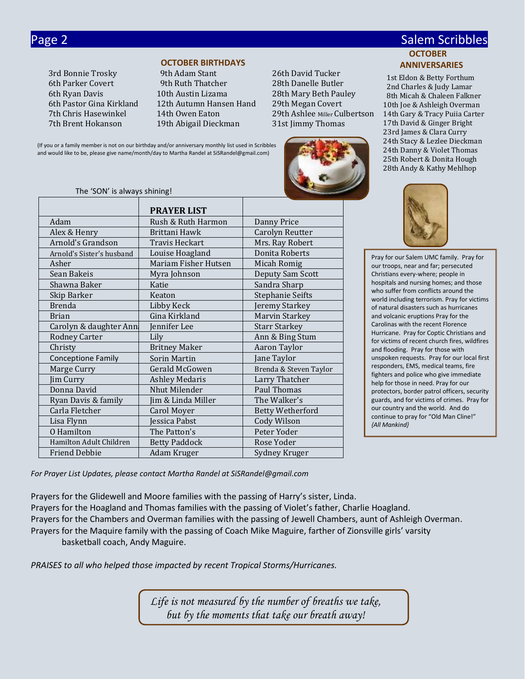3rd Bonnie Trosky 9th Adam Stant 26th David Tucker

#### **OCTOBER BIRTHDAYS**

6th Parker Covert 9th Ruth Thatcher 28th Danelle Butler 6th Ryan Davis 10th Austin Lizama 28th Mary Beth Pauley 6th Pastor Gina Kirkland 12th Autumn Hansen Hand 29th Megan Covert 7th Brent Hokanson 19th Abigail Dieckman 31st Jimmy Thomas

7th Chris Hasewinkel 14th Owen Eaton 29th Ashlee Miller Culbertson



#### Page 2 Salem Scribbles and Contract Contract Contract Contract Contract Contract Contract Contract Contract Co **OCTOBER ANNIVERSARIES**

 1st Eldon & Betty Forthum 2nd Charles & Judy Lamar 8th Micah & Chaleen Falkner 10th Joe & Ashleigh Overman 14th Gary & Tracy Puiia Carter 17th David & Ginger Bright 23rd James & Clara Curry 24th Stacy & Lezlee Dieckman 24th Danny & Violet Thomas 25th Robert & Donita Hough 28th Andy & Kathy Mehlhop



Pray for our Salem UMC family. Pray for our troops, near and far; persecuted Christians every-where; people in hospitals and nursing homes; and those who suffer from conflicts around the world including terrorism. Pray for victims of natural disasters such as hurricanes and volcanic eruptions Pray for the Carolinas with the recent Florence Hurricane. Pray for Coptic Christians and for victims of recent church fires, wildfires and flooding. Pray for those with unspoken requests. Pray for our local first responders, EMS, medical teams, fire fighters and police who give immediate help for those in need. Pray for our protectors, border patrol officers, security guards, and for victims of crimes. Pray for our country and the world. And do continue to pray for "Old Man Cline!" *{All Mankind}*

(If you or a family member is not on our birthday and/or anniversary monthly list used in Scribbles and would like to be, please give name/month/day to Martha Randel at SiSRandel@gmail.com)

#### The 'SON' is always shining!

|                           | <b>PRAYER LIST</b>    |                         |
|---------------------------|-----------------------|-------------------------|
| Adam                      | Rush & Ruth Harmon    | Danny Price             |
| Alex & Henry              | Brittani Hawk         | Carolyn Reutter         |
| Arnold's Grandson         | <b>Travis Heckart</b> | Mrs. Ray Robert         |
| Arnold's Sister's husband | Louise Hoagland       | Donita Roberts          |
| Asher                     | Mariam Fisher Hutsen  | Micah Romig             |
| Sean Bakeis               | Myra Johnson          | Deputy Sam Scott        |
| Shawna Baker              | Katie                 | Sandra Sharp            |
| Skip Barker               | Keaton                | Stephanie Seifts        |
| <b>Brenda</b>             | Libby Keck            | Jeremy Starkey          |
| <b>Brian</b>              | Gina Kirkland         | Marvin Starkey          |
| Carolyn & daughter Ann    | Jennifer Lee          | <b>Starr Starkey</b>    |
| <b>Rodney Carter</b>      | Lily                  | Ann & Bing Stum         |
| Christy                   | <b>Britney Maker</b>  | Aaron Taylor            |
| <b>Conceptione Family</b> | Sorin Martin          | Jane Taylor             |
| Marge Curry               | Gerald McGowen        | Brenda & Steven Taylor  |
| Jim Curry                 | <b>Ashley Medaris</b> | Larry Thatcher          |
| Donna David               | Nhut Milender         | Paul Thomas             |
| Ryan Davis & family       | Jim & Linda Miller    | The Walker's            |
| Carla Fletcher            | Carol Moyer           | <b>Betty Wetherford</b> |
| Lisa Flynn                | Jessica Pabst         | <b>Cody Wilson</b>      |
| <b>0</b> Hamilton         | The Patton's          | Peter Yoder             |
| Hamilton Adult Children   | <b>Betty Paddock</b>  | Rose Yoder              |
| <b>Friend Debbie</b>      | Adam Kruger           | Sydney Kruger           |

*For Prayer List Updates, please contact Martha Randel at SiSRandel@gmail.com*

Prayers for the Glidewell and Moore families with the passing of Harry's sister, Linda. Prayers for the Hoagland and Thomas families with the passing of Violet's father, Charlie Hoagland. Prayers for the Chambers and Overman families with the passing of Jewell Chambers, aunt of Ashleigh Overman. Prayers for the Maquire family with the passing of Coach Mike Maguire, farther of Zionsville girls' varsity basketball coach, Andy Maguire.

*PRAISES to all who helped those impacted by recent Tropical Storms/Hurricanes.*

*Life is not measured by the number of breaths we take, but by the moments that take our breath away!*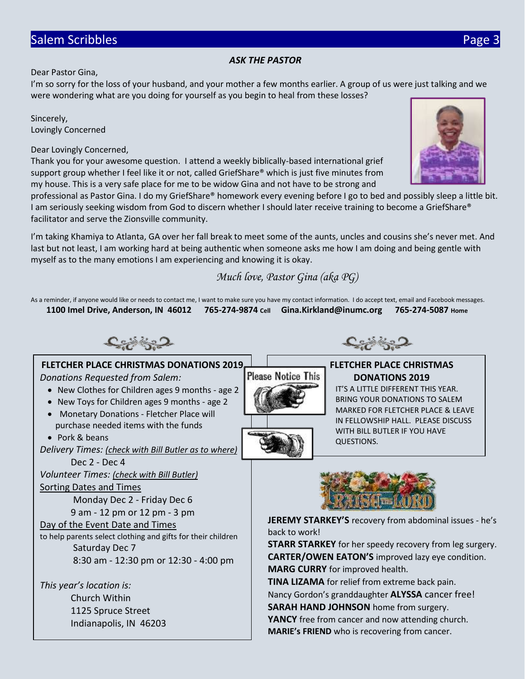# Salem Scribbles **Page 3**

#### *ASK THE PASTOR*

Dear Pastor Gina,

I'm so sorry for the loss of your husband, and your mother a few months earlier. A group of us were just talking and we were wondering what are you doing for yourself as you begin to heal from these losses?

Sincerely, Lovingly Concerned

Dear Lovingly Concerned,

Thank you for your awesome question. I attend a weekly biblically-based international grief support group whether I feel like it or not, called GriefShare® which is just five minutes from my house. This is a very safe place for me to be widow Gina and not have to be strong and

professional as Pastor Gina. I do my GriefShare® homework every evening before I go to bed and possibly sleep a little bit. I am seriously seeking wisdom from God to discern whether I should later receive training to become a GriefShare® facilitator and serve the Zionsville community.

I'm taking Khamiya to Atlanta, GA over her fall break to meet some of the aunts, uncles and cousins she's never met. And last but not least, I am working hard at being authentic when someone asks me how I am doing and being gentle with myself as to the many emotions I am experiencing and knowing it is okay.

*Much love, Pastor Gina (aka PG)*

**Please Notice This** 

As a reminder, if anyone would like or needs to contact me, I want to make sure you have my contact information. I do accept text, email and Facebook messages. **1100 Imel Drive, Anderson, IN 46012 765-274-9874 Cell Gina.Kirkland@inumc.org 765-274-5087 Home**

くぞうこ

# **FLETCHER PLACE CHRISTMAS DONATIONS 2019**

*Donations Requested from Salem:*

- New Clothes for Children ages 9 months age 2
- New Toys for Children ages 9 months age 2
- Monetary Donations Fletcher Place will purchase needed items with the funds

• Pork & beans

*Delivery Times: (check with Bill Butler as to where)*

Dec 2 - Dec 4

*Volunteer Times: (check with Bill Butler)*

#### Sorting Dates and Times

Monday Dec 2 - Friday Dec 6

9 am - 12 pm or 12 pm - 3 pm

#### Day of the Event Date and Times

to help parents select clothing and gifts for their children Saturday Dec 7 8:30 am - 12:30 pm or 12:30 - 4:00 pm

*This year's location is:* Church Within 1125 Spruce Street Indianapolis, IN 46203



QUESTIONS.

**JEREMY STARKEY'S** recovery from abdominal issues - he's back to work!

**STARR STARKEY** for her speedy recovery from leg surgery. **CARTER/OWEN EATON'S** improved lazy eye condition. **MARG CURRY** for improved health.

**TINA LIZAMA** for relief from extreme back pain. Nancy Gordon's granddaughter **ALYSSA** cancer free!

**SARAH HAND JOHNSON** home from surgery.

**YANCY** free from cancer and now attending church. **MARIE's FRIEND** who is recovering from cancer.





**FLETCHER PLACE CHRISTMAS DONATIONS 2019** IT'S A LITTLE DIFFERENT THIS YEAR. BRING YOUR DONATIONS TO SALEM MARKED FOR FLETCHER PLACE & LEAVE IN FELLOWSHIP HALL. PLEASE DISCUSS

WITH BILL BUTLER IF YOU HAVE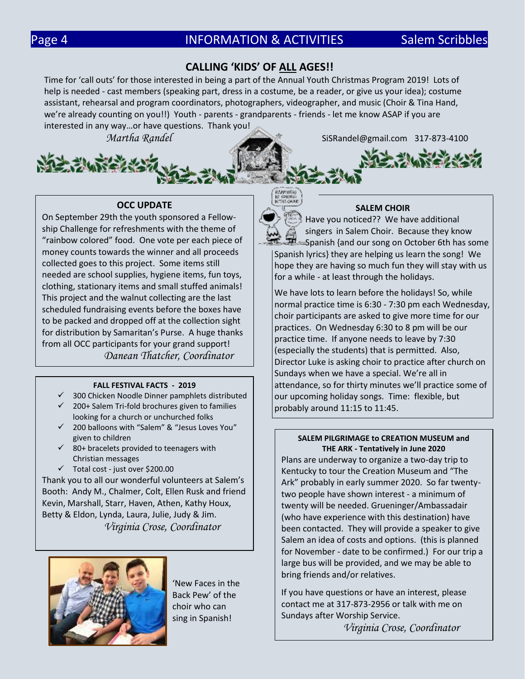## **CALLING 'KIDS' OF ALL AGES!!**

Time for 'call outs' for those interested in being a part of the Annual Youth Christmas Program 2019! Lots of help is needed - cast members (speaking part, dress in a costume, be a reader, or give us your idea); costume assistant, rehearsal and program coordinators, photographers, videographer, and music (Choir & Tina Hand, we're already counting on you!!) Youth - parents - grandparents - friends - let me know ASAP if you are interested in any way…or have questions. Thank you!

*Martha Randel* SiSRandel@gmail.com 317-873-4100



On September 29th the youth sponsored a Fellowship Challenge for refreshments with the theme of "rainbow colored" food. One vote per each piece of money counts towards the winner and all proceeds collected goes to this project. Some items still needed are school supplies, hygiene items, fun toys, clothing, stationary items and small stuffed animals! This project and the walnut collecting are the last scheduled fundraising events before the boxes have to be packed and dropped off at the collection sight for distribution by Samaritan's Purse. A huge thanks from all OCC participants for your grand support! *Danean Thatcher, Coordinator*

#### **FALL FESTIVAL FACTS - 2019**

- $\checkmark$  300 Chicken Noodle Dinner pamphlets distributed
- ✓ 200+ Salem Tri-fold brochures given to families looking for a church or unchurched folks
- ✓ 200 balloons with "Salem" & "Jesus Loves You" given to children
- $\checkmark$  80+ bracelets provided to teenagers with Christian messages
- ✓ Total cost just over \$200.00

Thank you to all our wonderful volunteers at Salem's Booth: Andy M., Chalmer, Colt, Ellen Rusk and friend Kevin, Marshall, Starr, Haven, Athen, Kathy Houx, Betty & Eldon, Lynda, Laura, Julie, Judy & Jim. *Virginia Crose, Coordinator*



'New Faces in the Back Pew' of the choir who can sing in Spanish!



**IAPPINES** 

#### **SALEM CHOIR**

Have you noticed?? We have additional singers in Salem Choir. Because they know 巴 Spanish {and our song on October 6th has some Spanish lyrics} they are helping us learn the song! We hope they are having so much fun they will stay with us for a while - at least through the holidays.

We have lots to learn before the holidays! So, while normal practice time is 6:30 - 7:30 pm each Wednesday, choir participants are asked to give more time for our practices. On Wednesday 6:30 to 8 pm will be our practice time. If anyone needs to leave by 7:30 (especially the students) that is permitted. Also, Director Luke is asking choir to practice after church on Sundays when we have a special. We're all in attendance, so for thirty minutes we'll practice some of our upcoming holiday songs. Time: flexible, but probably around 11:15 to 11:45.

#### **SALEM PILGRIMAGE to CREATION MUSEUM and THE ARK - Tentatively in June 2020**

Plans are underway to organize a two-day trip to Kentucky to tour the Creation Museum and "The Ark" probably in early summer 2020. So far twentytwo people have shown interest - a minimum of twenty will be needed. Grueninger/Ambassadair (who have experience with this destination) have been contacted. They will provide a speaker to give Salem an idea of costs and options. (this is planned for November - date to be confirmed.) For our trip a large bus will be provided, and we may be able to bring friends and/or relatives.

If you have questions or have an interest, please contact me at 317-873-2956 or talk with me on Sundays after Worship Service.

*Virginia Crose, Coordinator*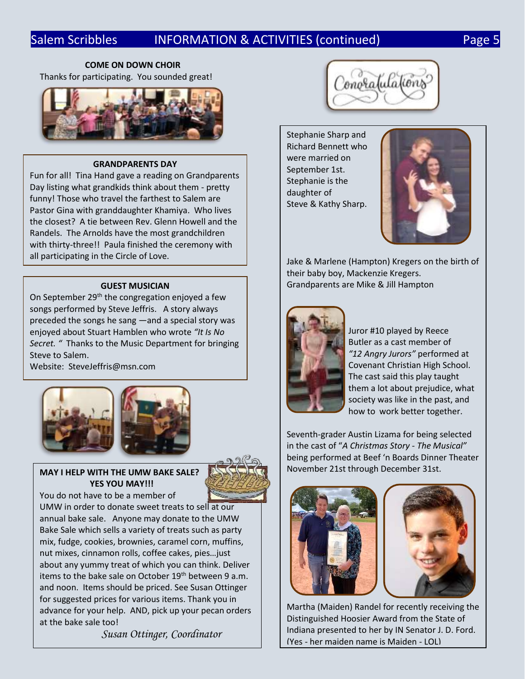# Salem Scribbles INFORMATION & ACTIVITIES (continued) Page 5

#### **COME ON DOWN CHOIR**

Thanks for participating. You sounded great!



#### **GRANDPARENTS DAY**

Fun for all! Tina Hand gave a reading on Grandparents Day listing what grandkids think about them - pretty funny! Those who travel the farthest to Salem are Pastor Gina with granddaughter Khamiya. Who lives the closest? A tie between Rev. Glenn Howell and the Randels. The Arnolds have the most grandchildren with thirty-three!! Paula finished the ceremony with all participating in the Circle of Love.

#### **GUEST MUSICIAN**

On September  $29<sup>th</sup>$  the congregation enjoyed a few songs performed by Steve Jeffris. A story always preceded the songs he sang ―and a special story was enjoyed about Stuart Hamblen who wrote *"It Is No Secret. "* Thanks to the Music Department for bringing Steve to Salem.

Website: SteveJeffris@msn.com







You do not have to be a member of

UMW in order to donate sweet treats to sell at our annual bake sale. Anyone may donate to the UMW Bake Sale which sells a variety of treats such as party mix, fudge, cookies, brownies, caramel corn, muffins, nut mixes, cinnamon rolls, coffee cakes, pies…just about any yummy treat of which you can think. Deliver items to the bake sale on October 19<sup>th</sup> between 9 a.m. and noon. Items should be priced. See Susan Ottinger for suggested prices for various items. Thank you in advance for your help. AND, pick up your pecan orders at the bake sale too!

*Susan Ottinger, Coordinator*



Stephanie Sharp and Richard Bennett who were married on September 1st. Stephanie is the daughter of Steve & Kathy Sharp.



Jake & Marlene (Hampton) Kregers on the birth of their baby boy, Mackenzie Kregers. Grandparents are Mike & Jill Hampton



Juror #10 played by Reece Butler as a cast member of *"12 Angry Jurors"* performed at Covenant Christian High School. The cast said this play taught them a lot about prejudice, what society was like in the past, and how to work better together.

Seventh-grader Austin Lizama for being selected in the cast of "*A Christmas Story - The Musical"* being performed at Beef 'n Boards Dinner Theater November 21st through December 31st.





Martha (Maiden) Randel for recently receiving the Distinguished Hoosier Award from the State of Indiana presented to her by IN Senator J. D. Ford. (Yes - her maiden name is Maiden - LOL)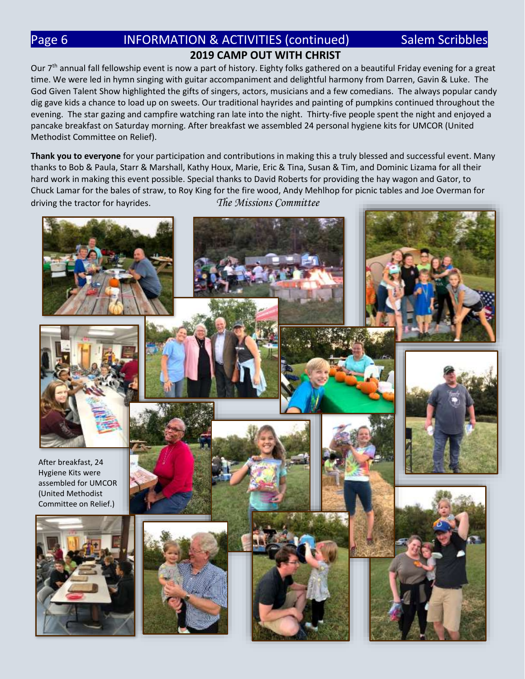# Page 6 **INFORMATION & ACTIVITIES (continued)** Salem Scribbles **2019 CAMP OUT WITH CHRIST**

Our 7<sup>th</sup> annual fall fellowship event is now a part of history. Eighty folks gathered on a beautiful Friday evening for a great time. We were led in hymn singing with guitar accompaniment and delightful harmony from Darren, Gavin & Luke. The God Given Talent Show highlighted the gifts of singers, actors, musicians and a few comedians. The always popular candy dig gave kids a chance to load up on sweets. Our traditional hayrides and painting of pumpkins continued throughout the evening. The star gazing and campfire watching ran late into the night. Thirty-five people spent the night and enjoyed a pancake breakfast on Saturday morning. After breakfast we assembled 24 personal hygiene kits for UMCOR (United Methodist Committee on Relief).

**Thank you to everyone** for your participation and contributions in making this a truly blessed and successful event. Many thanks to Bob & Paula, Starr & Marshall, Kathy Houx, Marie, Eric & Tina, Susan & Tim, and Dominic Lizama for all their hard work in making this event possible. Special thanks to David Roberts for providing the hay wagon and Gator, to Chuck Lamar for the bales of straw, to Roy King for the fire wood, Andy Mehlhop for picnic tables and Joe Overman for driving the tractor for hayrides. *The Missions Committee*

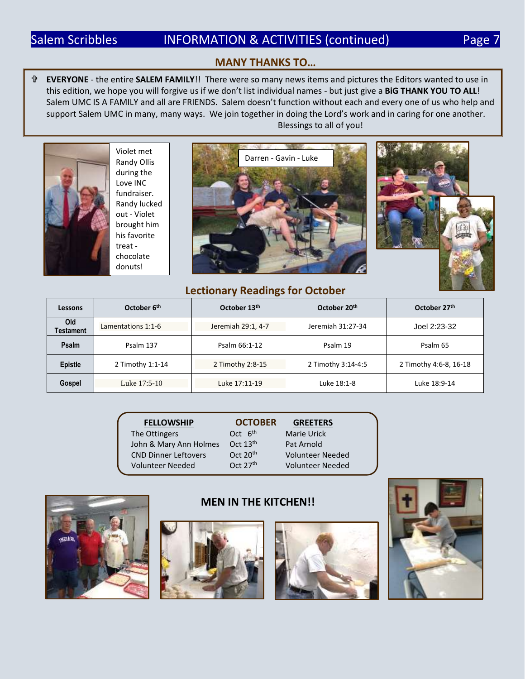#### **MANY THANKS TO…**

 **EVERYONE** - the entire **SALEM FAMILY**!! There were so many news items and pictures the Editors wanted to use in this edition, we hope you will forgive us if we don't list individual names - but just give a **BiG THANK YOU TO ALL**! Salem UMC IS A FAMILY and all are FRIENDS. Salem doesn't function without each and every one of us who help and support Salem UMC in many, many ways. We join together in doing the Lord's work and in caring for one another. Blessings to all of you!



Violet met Randy Ollis during the Love INC fundraiser. Randy lucked out - Violet brought him his favorite treat chocolate donuts!





#### **Lectionary Readings for October**

| Lessons          | October 6 <sup>th</sup> | October 13th       | October 20th       | October 27th           |
|------------------|-------------------------|--------------------|--------------------|------------------------|
| Old<br>Testament | Lamentations 1:1-6      | Jeremiah 29:1, 4-7 | Jeremiah 31:27-34  | Joel 2:23-32           |
| <b>Psalm</b>     | Psalm 137               | Psalm 66:1-12      | Psalm 19           | Psalm 65               |
| <b>Epistle</b>   | 2 Timothy 1:1-14        | 2 Timothy 2:8-15   | 2 Timothy 3:14-4:5 | 2 Timothy 4:6-8, 16-18 |
| Gospel           | Luke 17:5-10            | Luke 17:11-19      | Luke 18:1-8        | Luke 18:9-14           |

| <b>FELLOWSHIP</b>           | <b>OCTOBER</b>       | <b>GREETERS</b>         |
|-----------------------------|----------------------|-------------------------|
| The Ottingers               | Oct 6 <sup>th</sup>  | <b>Marie Urick</b>      |
| John & Mary Ann Holmes      | Oct $13th$           | Pat Arnold              |
| <b>CND Dinner Leftovers</b> | Oct $20th$           | <b>Volunteer Needed</b> |
| <b>Volunteer Needed</b>     | Oct 27 <sup>th</sup> | <b>Volunteer Needed</b> |



#### **MEN IN THE KITCHEN!!**